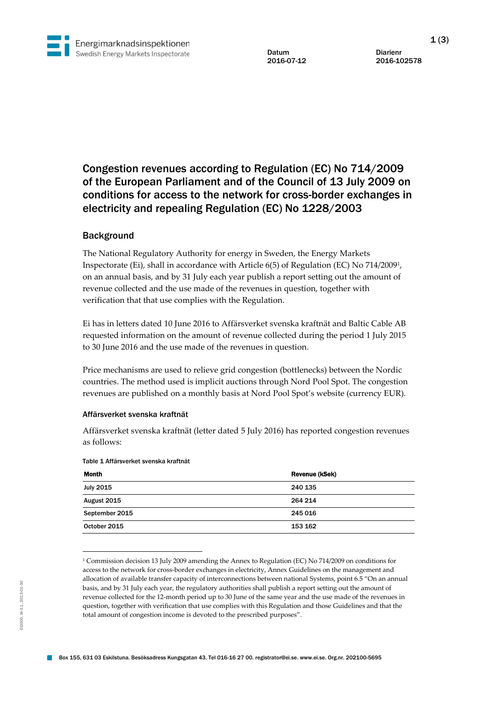

Datum Diarienr<br>
2016-07-12 2016-10

2016-102578

# Congestion revenues according to Regulation (EC) No 714/2009 of the European Parliament and of the Council of 13 July 2009 on conditions for access to the network for cross-border exchanges in electricity and repealing Regulation (EC) No 1228/2003

## **Background**

The National Regulatory Authority for energy in Sweden, the Energy Markets Inspectorate (Ei), shall in accordance with Article 6(5) of Regulation (EC) No 714/2009<sup>1</sup> , on an annual basis, and by 31 July each year publish a report setting out the amount of revenue collected and the use made of the revenues in question, together with verification that that use complies with the Regulation.

Ei has in letters dated 10 June 2016 to Affärsverket svenska kraftnät and Baltic Cable AB requested information on the amount of revenue collected during the period 1 July 2015 to 30 June 2016 and the use made of the revenues in question.

Price mechanisms are used to relieve grid congestion (bottlenecks) between the Nordic countries. The method used is implicit auctions through Nord Pool Spot. The congestion revenues are published on a monthly basis at Nord Pool Spot's website (currency EUR).

#### Affärsverket svenska kraftnät

Affärsverket svenska kraftnät (letter dated 5 July 2016) has reported congestion revenues as follows:

| Month            | Revenue (kSek) |
|------------------|----------------|
| <b>July 2015</b> | 240 135        |
| August 2015      | 264 214        |
| September 2015   | 245 016        |
| October 2015     | 153 162        |
|                  |                |

#### Table 1 Affärsverket svenska kraftnät

 $\overline{a}$ 

<sup>1</sup> Commission decision 13 July 2009 amending the Annex to Regulation (EC) No 714/2009 on conditions for access to the network for cross-border exchanges in electricity, Annex Guidelines on the management and allocation of available transfer capacity of interconnections between national Systems, point 6.5 "On an annual basis, and by 31 July each year, the regulatory authorities shall publish a report setting out the amount of revenue collected for the 12-month period up to 30 June of the same year and the use made of the revenues in question, together with verification that use complies with this Regulation and those Guidelines and that the total amount of congestion income is devoted to the prescribed purposes".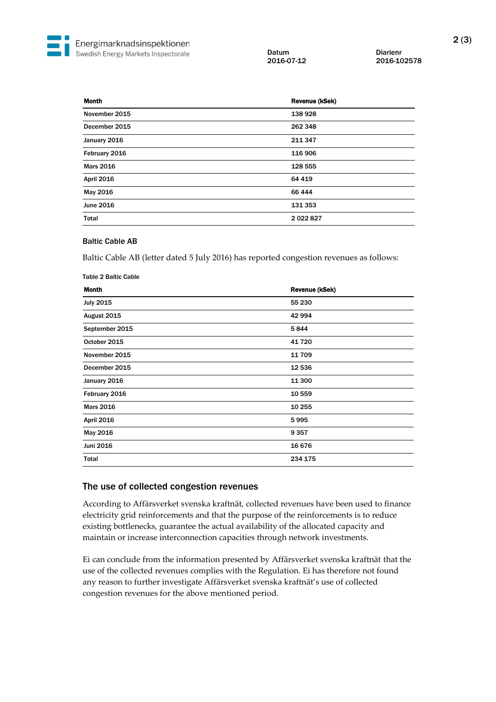Datum Diarienr<br>
2016-07-12 2016-10

2016-102578

| <b>Month</b>      | Revenue (kSek) |
|-------------------|----------------|
| November 2015     | 138928         |
| December 2015     | 262 348        |
| January 2016      | 211 347        |
| February 2016     | 116 906        |
| <b>Mars 2016</b>  | 128 555        |
| <b>April 2016</b> | 64 419         |
| May 2016          | 66 444         |
| June 2016         | 131 353        |
| <b>Total</b>      | 2022827        |

### Baltic Cable AB

Baltic Cable AB (letter dated 5 July 2016) has reported congestion revenues as follows:

| <b>Table 2 Baltic Cable</b> |                |
|-----------------------------|----------------|
| Month                       | Revenue (kSek) |
| <b>July 2015</b>            | 55 230         |
| August 2015                 | 42 994         |
| September 2015              | 5844           |
| October 2015                | 41720          |
| November 2015               | 11709          |
| December 2015               | 12 536         |
| January 2016                | 11 300         |
| February 2016               | 10 559         |
| <b>Mars 2016</b>            | 10 255         |
| <b>April 2016</b>           | 5995           |
| May 2016                    | 9357           |
| Juni 2016                   | 16 676         |
| <b>Total</b>                | 234 175        |
|                             |                |

## The use of collected congestion revenues

According to Affärsverket svenska kraftnät, collected revenues have been used to finance electricity grid reinforcements and that the purpose of the reinforcements is to reduce existing bottlenecks, guarantee the actual availability of the allocated capacity and maintain or increase interconnection capacities through network investments.

Ei can conclude from the information presented by Affärsverket svenska kraftnät that the use of the collected revenues complies with the Regulation. Ei has therefore not found any reason to further investigate Affärsverket svenska kraftnät's use of collected congestion revenues for the above mentioned period.